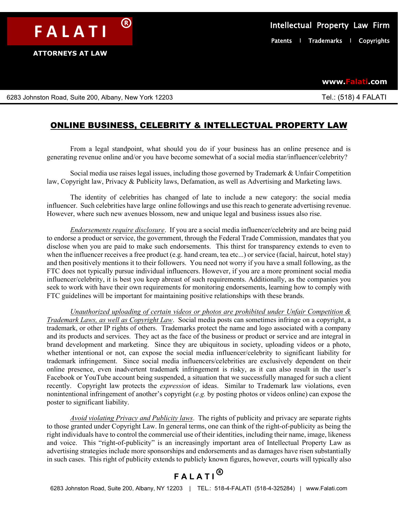**F A L A T I** ®

**www.Falati.com**

6283 Johnston Road, Suite 200, Albany, New York 12203 Tel.: (518) 4 FALATI

## ONLINE BUSINESS, CELEBRITY & INTELLECTUAL PROPERTY LAW

From a legal standpoint, what should you do if your business has an online presence and is generating revenue online and/or you have become somewhat of a social media star/influencer/celebrity?

Social media use raises legal issues, including those governed by Trademark  $\&$  Unfair Competition law, Copyright law, Privacy & Publicity laws, Defamation, as well as Advertising and Marketing laws.

The identity of celebrities has changed of late to include a new category: the social media influencer. Such celebrities have large online followings and use this reach to generate advertising revenue. However, where such new avenues blossom, new and unique legal and business issues also rise.

*Endorsements require disclosure*. If you are a social media influencer/celebrity and are being paid to endorse a product or service, the government, through the Federal Trade Commission, mandates that you disclose when you are paid to make such endorsements. This thirst for transparency extends to even to when the influencer receives a free product (e.g. hand cream, tea etc...) or service (facial, haircut, hotel stay) and then positively mentions it to their followers. You need not worry if you have a small following, as the FTC does not typically pursue individual influencers. However, if you are a more prominent social media influencer/celebrity, it is best you keep abreast of such requirements. Additionally, as the companies you seek to work with have their own requirements for monitoring endorsements, learning how to comply with FTC guidelines will be important for maintaining positive relationships with these brands.

*Unauthorized uploading of certain videos or photos are prohibited under Unfair Competition & Trademark Laws, as well as Copyright Law*. Social media posts can sometimes infringe on a copyright, a trademark, or other IP rights of others. Trademarks protect the name and logo associated with a company and its products and services. They act as the face of the business or product or service and are integral in brand development and marketing. Since they are ubiquitous in society, uploading videos or a photo, whether intentional or not, can expose the social media influencer/celebrity to significant liability for trademark infringement. Since social media influencers/celebrities are exclusively dependent on their online presence, even inadvertent trademark infringement is risky, as it can also result in the user's Facebook or YouTube account being suspended, a situation that we successfully managed for such a client recently. Copyright law protects the *expression* of ideas. Similar to Trademark law violations, even nonintentional infringement of another's copyright (*e.g.* by posting photos or videos online) can expose the poster to significant liability.

*Avoid violating Privacy and Publicity laws*. The rights of publicity and privacy are separate rights to those granted under Copyright Law. In general terms, one can think of the right-of-publicity as being the right individuals have to control the commercial use of their identities, including their name, image, likeness and voice. This "right-of-publicity" is an increasingly important area of Intellectual Property Law as advertising strategies include more sponsorships and endorsements and as damages have risen substantially in such cases. This right of publicity extends to publicly known figures, however, courts will typically also

## **F A L A T I** ®